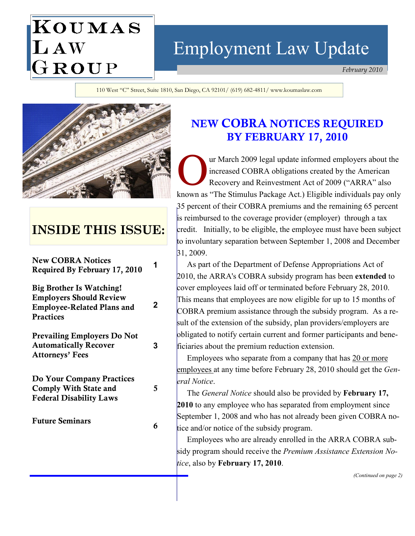# Employment Law Update

February 2010

110 West "C" Street, Suite 1810, San Diego, CA 92101/ (619) 682-4811/ www.koumaslaw.com



KOUMAS

LAW<br>GROUP

# INSIDE THIS ISSUE:

New COBRA Notices Required By February 17, 2010

Big Brother Is Watching! Employers Should Review Employee-Related Plans and **Practices** 

Prevailing Employers Do Not Automatically Recover Attorneys' Fees

Do Your Company Practices Comply With State and Federal Disability Laws

Future Seminars 6

# NEW COBRA NOTICES REQUIRED BY FEBRUARY 17, 2010

ur March 2009 legal update informed employers about the increased COBRA obligations created by the American Recovery and Reinvestment Act of 2009 ("ARRA" also known as "The Stimulus Package Act.) Eligible individuals pay only 35 percent of their COBRA premiums and the remaining 65 percent is reimbursed to the coverage provider (employer) through a tax credit. Initially, to be eligible, the employee must have been subject to involuntary separation between September 1, 2008 and December 31, 2009.

 As part of the Department of Defense Appropriations Act of 2010, the ARRA's COBRA subsidy program has been extended to cover employees laid off or terminated before February 28, 2010. This means that employees are now eligible for up to 15 months of COBRA premium assistance through the subsidy program. As a result of the extension of the subsidy, plan providers/employers are obligated to notify certain current and former participants and beneficiaries about the premium reduction extension.

 Employees who separate from a company that has 20 or more employees at any time before February 28, 2010 should get the *Gen*eral Notice.

The *General Notice* should also be provided by **February 17,** 2010 to any employee who has separated from employment since September 1, 2008 and who has not already been given COBRA notice and/or notice of the subsidy program.

 Employees who are already enrolled in the ARRA COBRA subsidy program should receive the Premium Assistance Extension Notice, also by February 17, 2010.

(Continued on page 2)

2

3

5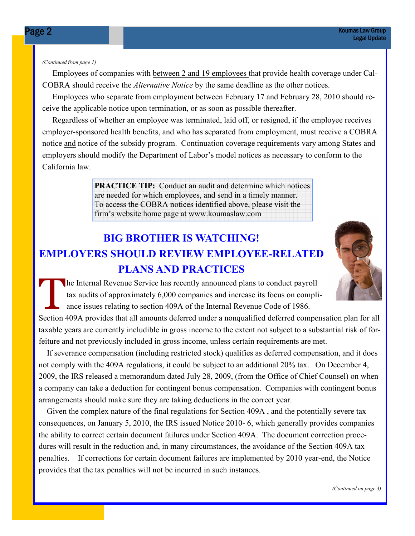#### (Continued from page 1)

 Employees of companies with between 2 and 19 employees that provide health coverage under Cal-COBRA should receive the Alternative Notice by the same deadline as the other notices.

 Employees who separate from employment between February 17 and February 28, 2010 should receive the applicable notice upon termination, or as soon as possible thereafter.

 Regardless of whether an employee was terminated, laid off, or resigned, if the employee receives employer-sponsored health benefits, and who has separated from employment, must receive a COBRA notice and notice of the subsidy program. Continuation coverage requirements vary among States and employers should modify the Department of Labor's model notices as necessary to conform to the California law.

> PRACTICE TIP: Conduct an audit and determine which notices are needed for which employees, and send in a timely manner. To access the COBRA notices identified above, please visit the firm's website home page at www.koumaslaw.com

# BIG BROTHER IS WATCHING! EMPLOYERS SHOULD REVIEW EMPLOYEE-RELATED PLANS AND PRACTICES



The Internal Revenue Service has recently announced plans to conduct payroll tax audits of approximately 6,000 companies and increase its focus on compliance issues relating to section 409A of the Internal Revenue Code of 1986.

Section 409A provides that all amounts deferred under a nonqualified deferred compensation plan for all taxable years are currently includible in gross income to the extent not subject to a substantial risk of forfeiture and not previously included in gross income, unless certain requirements are met.

 If severance compensation (including restricted stock) qualifies as deferred compensation, and it does not comply with the 409A regulations, it could be subject to an additional 20% tax. On December 4, 2009, the IRS released a memorandum dated July 28, 2009, (from the Office of Chief Counsel) on when a company can take a deduction for contingent bonus compensation. Companies with contingent bonus arrangements should make sure they are taking deductions in the correct year.

 Given the complex nature of the final regulations for Section 409A , and the potentially severe tax consequences, on January 5, 2010, the IRS issued Notice 2010- 6, which generally provides companies the ability to correct certain document failures under Section 409A. The document correction procedures will result in the reduction and, in many circumstances, the avoidance of the Section 409A tax penalties. If corrections for certain document failures are implemented by 2010 year-end, the Notice provides that the tax penalties will not be incurred in such instances.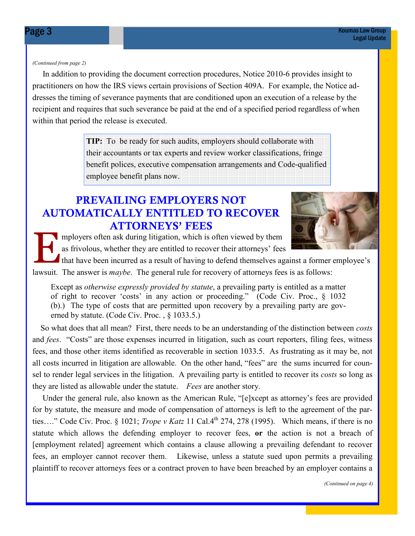#### (Continued from page 2)

 In addition to providing the document correction procedures, Notice 2010-6 provides insight to practitioners on how the IRS views certain provisions of Section 409A. For example, the Notice addresses the timing of severance payments that are conditioned upon an execution of a release by the recipient and requires that such severance be paid at the end of a specified period regardless of when within that period the release is executed.

> **TIP:** To be ready for such audits, employers should collaborate with their accountants or tax experts and review worker classifications, fringe benefit polices, executive compensation arrangements and Code-qualified employee benefit plans now.

#### PREVAILING EMPLOYERS NOT AUTOMATICALLY ENTITLED TO RECOVER ATTORNEYS' FEES



mployers often ask during litigation, which is often viewed by them as frivolous, whether they are entitled to recover their attorneys' fees

that have been incurred as a result of having to defend themselves against a former employee's lawsuit. The answer is *maybe*. The general rule for recovery of attorneys fees is as follows:

Except as otherwise expressly provided by statute, a prevailing party is entitled as a matter of right to recover 'costs' in any action or proceeding." (Code Civ. Proc., § 1032 (b).) The type of costs that are permitted upon recovery by a prevailing party are governed by statute. (Code Civ. Proc. , § 1033.5.)

 So what does that all mean? First, there needs to be an understanding of the distinction between costs and *fees.* "Costs" are those expenses incurred in litigation, such as court reporters, filing fees, witness fees, and those other items identified as recoverable in section 1033.5. As frustrating as it may be, not all costs incurred in litigation are allowable. On the other hand, "fees" are the sums incurred for counsel to render legal services in the litigation. A prevailing party is entitled to recover its costs so long as they are listed as allowable under the statute. Fees are another story.

 Under the general rule, also known as the American Rule, "[e]xcept as attorney's fees are provided for by statute, the measure and mode of compensation of attorneys is left to the agreement of the parties…." Code Civ. Proc. § 1021; Trope v Katz 11 Cal.4th 274, 278 (1995). Which means, if there is no statute which allows the defending employer to recover fees, or the action is not a breach of [employment related] agreement which contains a clause allowing a prevailing defendant to recover fees, an employer cannot recover them. Likewise, unless a statute sued upon permits a prevailing plaintiff to recover attorneys fees or a contract proven to have been breached by an employer contains a

(Continued on page 4)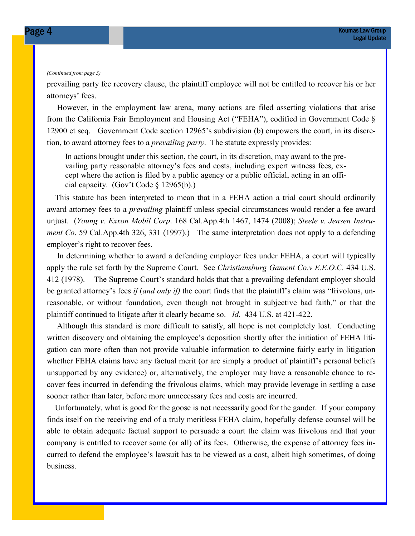#### (Continued from page 3)

prevailing party fee recovery clause, the plaintiff employee will not be entitled to recover his or her attorneys' fees.

 However, in the employment law arena, many actions are filed asserting violations that arise from the California Fair Employment and Housing Act ("FEHA"), codified in Government Code § 12900 et seq. Government Code section 12965's subdivision (b) empowers the court, in its discretion, to award attorney fees to a *prevailing party*. The statute expressly provides:

In actions brought under this section, the court, in its discretion, may award to the prevailing party reasonable attorney's fees and costs, including expert witness fees, except where the action is filed by a public agency or a public official, acting in an official capacity. (Gov't Code § 12965(b).)

 This statute has been interpreted to mean that in a FEHA action a trial court should ordinarily award attorney fees to a *prevailing* plaintiff unless special circumstances would render a fee award unjust. (Young v. Exxon Mobil Corp. 168 Cal.App.4th 1467, 1474 (2008); Steele v. Jensen Instrument Co. 59 Cal.App.4th 326, 331 (1997).) The same interpretation does not apply to a defending employer's right to recover fees.

 In determining whether to award a defending employer fees under FEHA, a court will typically apply the rule set forth by the Supreme Court. See Christiansburg Gament Co.v E.E.O.C. 434 U.S. 412 (1978). The Supreme Court's standard holds that that a prevailing defendant employer should be granted attorney's fees if (and only if) the court finds that the plaintiff's claim was "frivolous, unreasonable, or without foundation, even though not brought in subjective bad faith," or that the plaintiff continued to litigate after it clearly became so. Id. 434 U.S. at 421-422.

 Although this standard is more difficult to satisfy, all hope is not completely lost. Conducting written discovery and obtaining the employee's deposition shortly after the initiation of FEHA litigation can more often than not provide valuable information to determine fairly early in litigation whether FEHA claims have any factual merit (or are simply a product of plaintiff's personal beliefs unsupported by any evidence) or, alternatively, the employer may have a reasonable chance to recover fees incurred in defending the frivolous claims, which may provide leverage in settling a case sooner rather than later, before more unnecessary fees and costs are incurred.

 Unfortunately, what is good for the goose is not necessarily good for the gander. If your company finds itself on the receiving end of a truly meritless FEHA claim, hopefully defense counsel will be able to obtain adequate factual support to persuade a court the claim was frivolous and that your company is entitled to recover some (or all) of its fees. Otherwise, the expense of attorney fees incurred to defend the employee's lawsuit has to be viewed as a cost, albeit high sometimes, of doing business.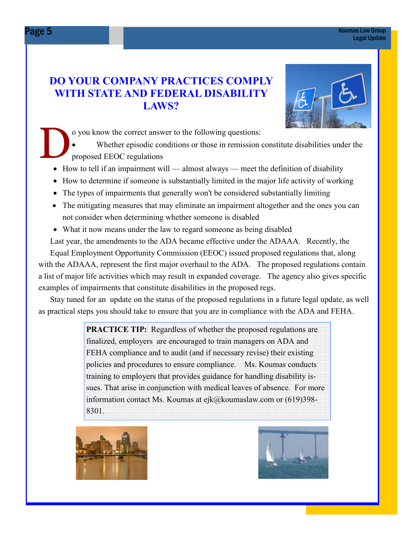#### DO YOUR COMPANY PRACTICES COMPLY WITH STATE AND FEDERAL DISABILITY LAWS?



o you know the correct answer to the following questions:

• Whether episodic conditions or those in remission constitute disabilities under the proposed EEOC regulations

- How to tell if an impairment will almost always meet the definition of disability
- How to determine if someone is substantially limited in the major life activity of working
- The types of impairments that generally won't be considered substantially limiting
- The mitigating measures that may eliminate an impairment altogether and the ones you can not consider when determining whether someone is disabled
- What it now means under the law to regard someone as being disabled

Last year, the amendments to the ADA became effective under the ADAAA. Recently, the

 Equal Employment Opportunity Commission (EEOC) issued proposed regulations that, along with the ADAAA, represent the first major overhaul to the ADA. The proposed regulations contain a list of major life activities which may result in expanded coverage. The agency also gives specific examples of impairments that constitute disabilities in the proposed regs.

 Stay tuned for an update on the status of the proposed regulations in a future legal update, as well as practical steps you should take to ensure that you are in compliance with the ADA and FEHA.

> PRACTICE TIP: Regardless of whether the proposed regulations are finalized, employers are encouraged to train managers on ADA and FEHA compliance and to audit (and if necessary revise) their existing policies and procedures to ensure compliance. Ms. Koumas conducts training to employers that provides guidance for handling disability issues. That arise in conjunction with medical leaves of absence. For more information contact Ms. Koumas at ejk@koumaslaw.com or (619)398-8301.